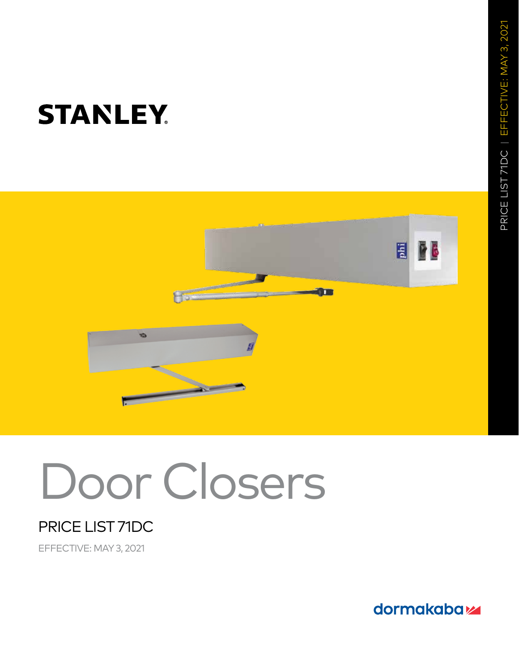

# Door Closers

## PRICE LIST 71DC

EFFECTIVE: MAY 3, 2021

dormakabaz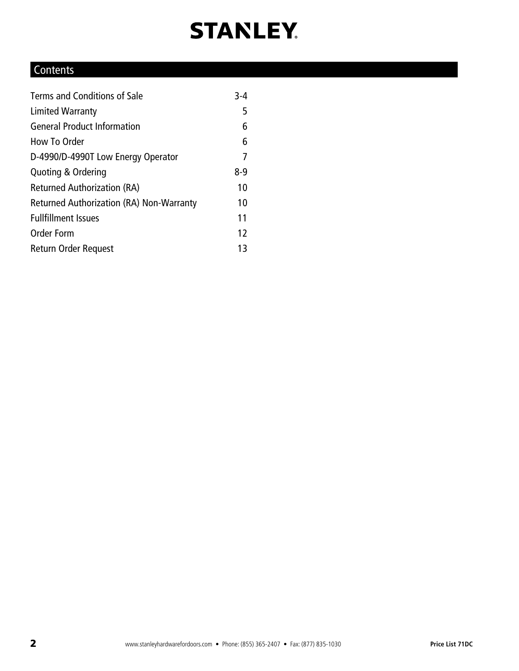### **Contents**

| Terms and Conditions of Sale             | $3 - 4$ |
|------------------------------------------|---------|
| Limited Warranty                         | 5       |
| <b>General Product Information</b>       | 6       |
| How To Order                             | 6       |
| D-4990/D-4990T Low Energy Operator       | 7       |
| Quoting & Ordering                       | $8-9$   |
| <b>Returned Authorization (RA)</b>       | 10      |
| Returned Authorization (RA) Non-Warranty | 10      |
| <b>Fullfillment Issues</b>               | 11      |
| <b>Order Form</b>                        | 12      |
| Return Order Request                     | 13      |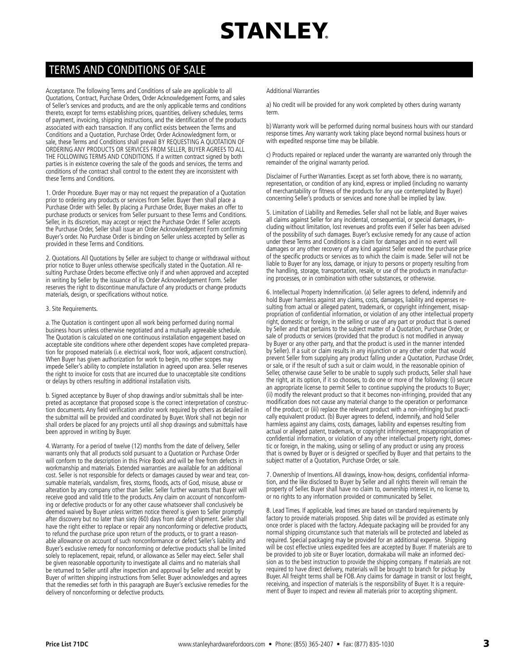### TERMS AND CONDITIONS OF SALE

Acceptance. The following Terms and Conditions of sale are applicable to all Quotations, Contract, Purchase Orders, Order Acknowledgement Forms, and sales of Seller's services and products, and are the only applicable terms and conditions thereto, except for terms establishing prices, quantities, delivery schedules, terms of payment, invoicing, shipping instructions, and the identification of the products associated with each transaction. If any conflict exists between the Terms and Conditions and a Quotation, Purchase Order, Order Acknowledgment form, or sale, these Terms and Conditions shall prevail BY REQUESTING A QUOTATION OF ORDERING ANY PRODUCTS OR SERVICES FROM SELLER, BUYER AGREES TO ALL THE FOLLOWING TERMS AND CONDITIONS. If a written contract signed by both parties is in existence covering the sale of the goods and services, the terms and conditions of the contract shall control to the extent they are inconsistent with these Terms and Conditions.

1. Order Procedure. Buyer may or may not request the preparation of a Quotation prior to ordering any products or services from Seller. Buyer then shall place a Purchase Order with Seller. By placing a Purchase Order, Buyer makes an offer to purchase products or services from Seller pursuant to these Terms and Conditions. Seller, in its discretion, may accept or reject the Purchase Order. If Seller accepts the Purchase Order, Seller shall issue an Order Acknowledgement Form confirming Buyer's order. No Purchase Order is binding on Seller unless accepted by Seller as provided in these Terms and Conditions.

2. Quotations. All Quotations by Seller are subject to change or withdrawal without prior notice to Buyer unless otherwise specifically stated in the Quotation. All resulting Purchase Orders become effective only if and when approved and accepted in writing by Seller by the issuance of its Order Acknowledgement Form. Seller reserves the right to discontinue manufacture of any products or change products materials, design, or specifications without notice.

#### 3. Site Requirements.

a. The Quotation is contingent upon all work being performed during normal business hours unless otherwise negotiated and a mutually agreeable schedule. The Quotation is calculated on one continuous installation engagement based on acceptable site conditions where other dependent scopes have completed preparation for proposed materials (i.e. electrical work, floor work, adjacent construction). When Buyer has given authorization for work to begin, no other scopes may impede Seller's ability to complete installation in agreed upon area. Seller reserves the right to invoice for costs that are incurred due to unacceptable site conditions or delays by others resulting in additional installation visits.

b. Signed acceptance by Buyer of shop drawings and/or submittals shall be interpreted as acceptance that proposed scope is the correct interpretation of construction documents. Any field verification and/or work required by others as detailed in the submittal will be provided and coordinated by Buyer. Work shall not begin nor shall orders be placed for any projects until all shop drawings and submittals have been approved in writing by Buyer.

4. Warranty. For a period of twelve (12) months from the date of delivery, Seller warrants only that all products sold pursuant to a Quotation or Purchase Order will conform to the description in this Price Book and will be free from defects in workmanship and materials. Extended warranties are available for an additional cost. Seller is not responsible for defects or damages caused by wear and tear, consumable materials, vandalism, fires, storms, floods, acts of God, misuse, abuse or alteration by any company other than Seller. Seller further warrants that Buyer will receive good and valid title to the products. Any claim on account of nonconforming or defective products or for any other cause whatsoever shall conclusively be deemed waived by Buyer unless written notice thereof is given to Seller promptly after discovery but no later than sixty (60) days from date of shipment. Seller shall have the right either to replace or repair any nonconforming or defective products, to refund the purchase price upon return of the products, or to grant a reasonable allowance on account of such nonconformance or defect Seller's liability and Buyer's exclusive remedy for nonconforming or defective products shall be limited solely to replacement, repair, refund, or allowance as Seller may elect. Seller shall be given reasonable opportunity to investigate all claims and no materials shall be returned to Seller until after inspection and approval by Seller and receipt by Buyer of written shipping instructions from Seller. Buyer acknowledges and agrees that the remedies set forth in this paragraph are Buyer's exclusive remedies for the delivery of nonconforming or defective products.

#### Additional Warranties

a) No credit will be provided for any work completed by others during warranty term.

b) Warranty work will be performed during normal business hours with our standard response times. Any warranty work taking place beyond normal business hours or with expedited response time may be billable.

c) Products repaired or replaced under the warranty are warranted only through the remainder of the original warranty period.

Disclaimer of Further Warranties. Except as set forth above, there is no warranty, representation, or condition of any kind, express or implied (including no warranty of merchantability or fitness of the products for any use contemplated by Buyer) concerning Seller's products or services and none shall be implied by law.

5. Limitation of Liability and Remedies. Seller shall not be liable, and Buyer waives all claims against Seller for any incidental, consequential, or special damages, including without limitation, lost revenues and profits even if Seller has been advised of the possibility of such damages. Buyer's exclusive remedy for any cause of action under these Terms and Conditions is a claim for damages and in no event will damages or any other recovery of any kind against Seller exceed the purchase price of the specific products or services as to which the claim is made. Seller will not be liable to Buyer for any loss, damage, or injury to persons or property resulting from the handling, storage, transportation, resale, or use of the products in manufacturing processes, or in combination with other substances, or otherwise.

6. Intellectual Property Indemnification. (a) Seller agrees to defend, indemnify and hold Buyer harmless against any claims, costs, damages, liability and expenses resulting from actual or alleged patent, trademark, or copyright infringement, misappropriation of confidential information, or violation of any other intellectual property right, domestic or foreign, in the selling or use of any part or product that is owned by Seller and that pertains to the subject matter of a Quotation, Purchase Order, or sale of products or services (provided that the product is not modified in anyway by Buyer or any other party, and that the product is used in the manner intended by Seller). If a suit or claim results in any injunction or any other order that would prevent Seller from supplying any product falling under a Quotation, Purchase Order, or sale, or if the result of such a suit or claim would, in the reasonable opinion of Seller, otherwise cause Seller to be unable to supply such products, Seller shall have the right, at its option, if it so chooses, to do one or more of the following: (i) secure an appropriate license to permit Seller to continue supplying the products to Buyer; (ii) modify the relevant product so that it becomes non-infringing, provided that any modification does not cause any material change to the operation or performance of the product; or (iii) replace the relevant product with a non-infringing but practically equivalent product. (b) Buyer agrees to defend, indemnify, and hold Seller harmless against any claims, costs, damages, liability and expenses resulting from actual or alleged patent, trademark, or copyright infringement, misappropriation of confidential information, or violation of any other intellectual property right, domestic or foreign, in the making, using or selling of any product or using any process that is owned by Buyer or is designed or specified by Buyer and that pertains to the subject matter of a Quotation, Purchase Order, or sale.

7. Ownership of Inventions. All drawings, know-how, designs, confidential information, and the like disclosed to Buyer by Seller and all rights therein will remain the property of Seller. Buyer shall have no claim to, ownership interest in, no license to, or no rights to any information provided or communicated by Seller.

8. Lead Times. If applicable, lead times are based on standard requirements by factory to provide materials proposed. Ship dates will be provided as estimate only once order is placed with the factory. Adequate packaging will be provided for any normal shipping circumstance such that materials will be protected and labeled as required. Special packaging may be provided for an additional expense. Shipping will be cost effective unless expedited fees are accepted by Buyer. If materials are to be provided to job site or Buyer location, dormakaba will make an informed decision as to the best instruction to provide the shipping company. If materials are not required to have direct delivery, materials will be brought to branch for pickup by Buyer. All freight terms shall be FOB. Any claims for damage in transit or lost freight, receiving, and inspection of materials is the responsibility of Buyer. It is a requirement of Buyer to inspect and review all materials prior to accepting shipment.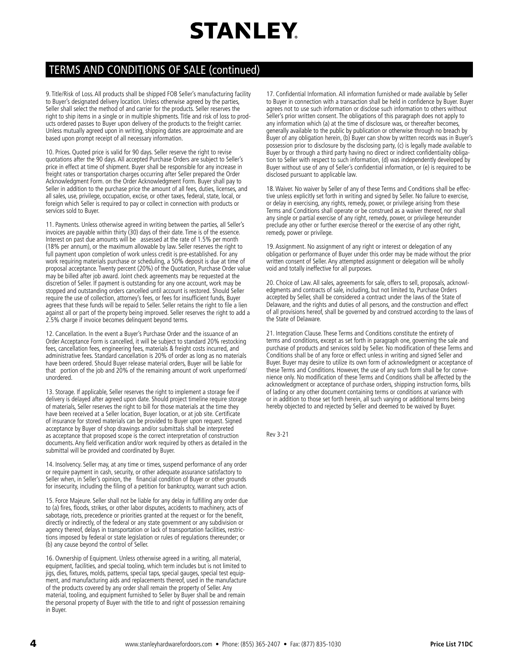### TERMS AND CONDITIONS OF SALE (continued)

9. Title/Risk of Loss. All products shall be shipped FOB Seller's manufacturing facility to Buyer's designated delivery location. Unless otherwise agreed by the parties, Seller shall select the method of and carrier for the products. Seller reserves the right to ship items in a single or in multiple shipments. Title and risk of loss to products ordered passes to Buyer upon delivery of the products to the freight carrier. Unless mutually agreed upon in writing, shipping dates are approximate and are based upon prompt receipt of all necessary information.

10. Prices. Quoted price is valid for 90 days. Seller reserve the right to revise quotations after the 90 days. All accepted Purchase Orders are subject to Seller's price in effect at time of shipment. Buyer shall be responsible for any increase in freight rates or transportation charges occurring after Seller prepared the Order Acknowledgment Form. on the Order Acknowledgment Form. Buyer shall pay to Seller in addition to the purchase price the amount of all fees, duties, licenses, and all sales, use, privilege, occupation, excise, or other taxes, federal, state, local, or foreign which Seller is required to pay or collect in connection with products or services sold to Buyer.

11. Payments. Unless otherwise agreed in writing between the parties, all Seller's invoices are payable within thirty (30) days of their date. Time is of the essence. Interest on past due amounts will be assessed at the rate of 1.5% per month (18% per annum), or the maximum allowable by law. Seller reserves the right to full payment upon completion of work unless credit is pre-established. For any work requiring materials purchase or scheduling, a 50% deposit is due at time of proposal acceptance. Twenty percent (20%) of the Quotation, Purchase Order value may be billed after job award. Joint check agreements may be requested at the discretion of Seller. If payment is outstanding for any one account, work may be stopped and outstanding orders cancelled until account is restored. Should Seller require the use of collection, attorney's fees, or fees for insufficient funds, Buyer agrees that these funds will be repaid to Seller. Seller retains the right to file a lien against all or part of the property being improved. Seller reserves the right to add a 2.5% charge if invoice becomes delinquent beyond terms.

12. Cancellation. In the event a Buyer's Purchase Order and the issuance of an Order Acceptance Form is cancelled, it will be subject to standard 20% restocking fees, cancellation fees, engineering fees, materials & freight costs incurred, and administrative fees. Standard cancellation is 20% of order as long as no materials have been ordered. Should Buyer release material orders, Buyer will be liable for that portion of the job and 20% of the remaining amount of work unperformed/ unordered.

13. Storage. If applicable, Seller reserves the right to implement a storage fee if delivery is delayed after agreed upon date. Should project timeline require storage of materials, Seller reserves the right to bill for those materials at the time they have been received at a Seller location, Buyer location, or at job site. Certificate of insurance for stored materials can be provided to Buyer upon request. Signed acceptance by Buyer of shop drawings and/or submittals shall be interpreted as acceptance that proposed scope is the correct interpretation of construction documents. Any field verification and/or work required by others as detailed in the submittal will be provided and coordinated by Buyer.

14. Insolvency. Seller may, at any time or times, suspend performance of any order or require payment in cash, security, or other adequate assurance satisfactory to Seller when, in Seller's opinion, the financial condition of Buyer or other grounds for insecurity, including the filing of a petition for bankruptcy, warrant such action.

15. Force Majeure. Seller shall not be liable for any delay in fulfilling any order due to (a) fires, floods, strikes, or other labor disputes, accidents to machinery, acts of sabotage, riots, precedence or priorities granted at the request or for the benefit, directly or indirectly, of the federal or any state government or any subdivision or agency thereof, delays in transportation or lack of transportation facilities, restrictions imposed by federal or state legislation or rules of regulations thereunder; or (b) any cause beyond the control of Seller.

16. Ownership of Equipment. Unless otherwise agreed in a writing, all material, equipment, facilities, and special tooling, which term includes but is not limited to jigs, dies, fixtures, molds, patterns, special taps, special gauges, special test equipment, and manufacturing aids and replacements thereof, used in the manufacture of the products covered by any order shall remain the property of Seller. Any material, tooling, and equipment furnished to Seller by Buyer shall be and remain the personal property of Buyer with the title to and right of possession remaining in Buyer.

17. Confidential Information. All information furnished or made available by Seller to Buyer in connection with a transaction shall be held in confidence by Buyer. Buyer agrees not to use such information or disclose such information to others without Seller's prior written consent. The obligations of this paragraph does not apply to any information which (a) at the time of disclosure was, or thereafter becomes, generally available to the public by publication or otherwise through no breach by Buyer of any obligation herein, (b) Buyer can show by written records was in Buyer's possession prior to disclosure by the disclosing party, (c) is legally made available to Buyer by or through a third party having no direct or indirect confidentiality obligation to Seller with respect to such information, (d) was independently developed by Buyer without use of any of Seller's confidential information, or (e) is required to be disclosed pursuant to applicable law.

18. Waiver. No waiver by Seller of any of these Terms and Conditions shall be effective unless explicitly set forth in writing and signed by Seller. No failure to exercise, or delay in exercising, any rights, remedy, power, or privilege arising from these Terms and Conditions shall operate or be construed as a waiver thereof, nor shall any single or partial exercise of any right, remedy, power, or privilege hereunder preclude any other or further exercise thereof or the exercise of any other right, remedy, power or privilege.

19. Assignment. No assignment of any right or interest or delegation of any obligation or performance of Buyer under this order may be made without the prior written consent of Seller. Any attempted assignment or delegation will be wholly void and totally ineffective for all purposes.

20. Choice of Law. All sales, agreements for sale, offers to sell, proposals, acknowledgments and contracts of sale, including, but not limited to, Purchase Orders accepted by Seller, shall be considered a contract under the laws of the State of Delaware, and the rights and duties of all persons, and the construction and effect of all provisions hereof, shall be governed by and construed according to the laws of the State of Delaware.

21. Integration Clause. These Terms and Conditions constitute the entirety of terms and conditions, except as set forth in paragraph one, governing the sale and purchase of products and services sold by Seller. No modification of these Terms and Conditions shall be of any force or effect unless in writing and signed Seller and Buyer. Buyer may desire to utilize its own form of acknowledgment or acceptance of these Terms and Conditions. However, the use of any such form shall be for convenience only. No modification of these Terms and Conditions shall be affected by the acknowledgment or acceptance of purchase orders, shipping instruction forms, bills of lading or any other document containing terms or conditions at variance with or in addition to those set forth herein, all such varying or additional terms being hereby objected to and rejected by Seller and deemed to be waived by Buyer.

Rev 3-21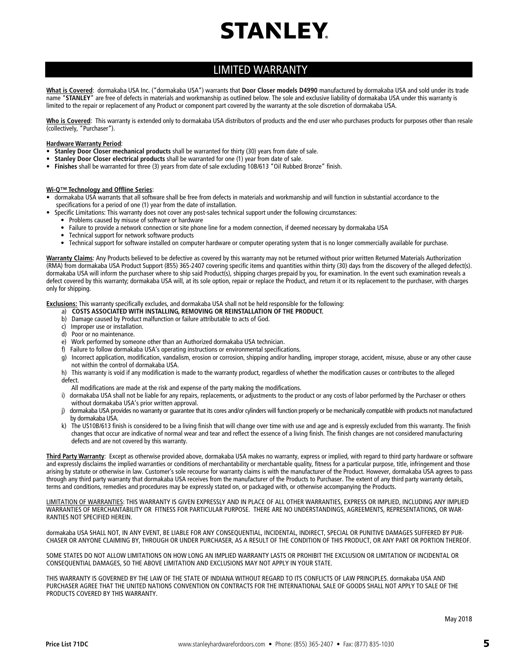### LIMITED WARRANTY

**What is Covered**: dormakaba USA Inc. ("dormakaba USA") warrants that **Door Closer models D4990** manufactured by dormakaba USA and sold under its trade name "**STANLEY**" are free of defects in materials and workmanship as outlined below. The sole and exclusive liability of dormakaba USA under this warranty is limited to the repair or replacement of any Product or component part covered by the warranty at the sole discretion of dormakaba USA.

Who is Covered: This warranty is extended only to dormakaba USA distributors of products and the end user who purchases products for purposes other than resale (collectively, "Purchaser").

#### **Hardware Warranty Period**:

- **Stanley Door Closer mechanical products** shall be warranted for thirty (30) years from date of sale.
- **Stanley Door Closer electrical products** shall be warranted for one (1) year from date of sale.
- **Finishes** shall be warranted for three (3) years from date of sale excluding 10B/613 "Oil Rubbed Bronze" finish.

#### **Wi-Q™ Technology and Offline Series**:

- dormakaba USA warrants that all software shall be free from defects in materials and workmanship and will function in substantial accordance to the specifications for a period of one (1) year from the date of installation.
- Specific Limitations: This warranty does not cover any post-sales technical support under the following circumstances:
	- Problems caused by misuse of software or hardware
	- Failure to provide a network connection or site phone line for a modem connection, if deemed necessary by dormakaba USA
	- Technical support for network software products
	- Technical support for software installed on computer hardware or computer operating system that is no longer commercially available for purchase.

**Warranty Claims**: Any Products believed to be defective as covered by this warranty may not be returned without prior written Returned Materials Authorization (RMA) from dormakaba USA Product Support (855) 365-2407 covering specific items and quantities within thirty (30) days from the discovery of the alleged defect(s). dormakaba USA will inform the purchaser where to ship said Product(s), shipping charges prepaid by you, for examination. In the event such examination reveals a defect covered by this warranty; dormakaba USA will, at its sole option, repair or replace the Product, and return it or its replacement to the purchaser, with charges only for shipping.

**Exclusions:** This warranty specifically excludes, and dormakaba USA shall not be held responsible for the following:

- a) COSTS ASSOCIATED WITH INSTALLING, REMOVING OR REINSTALLATION OF THE PRODUCT.
- b) Damage caused by Product malfunction or failure attributable to acts of God.
- c) Improper use or installation.
- d) Poor or no maintenance.
- e) Work performed by someone other than an Authorized dormakaba USA technician.
- f) Failure to follow dormakaba USA's operating instructions or environmental specifications.
- g) Incorrect application, modification, vandalism, erosion or corrosion, shipping and/or handling, improper storage, accident, misuse, abuse or any other cause not within the control of dormakaba USA.
- h) This warranty is void if any modification is made to the warranty product, regardless of whether the modification causes or contributes to the alleged defect.
- All modifications are made at the risk and expense of the party making the modifications.
- i) dormakaba USA shall not be liable for any repairs, replacements, or adjustments to the product or any costs of labor performed by the Purchaser or others without dormakaba USA's prior written approval.
- j) dormakaba USA provides no warranty or guarantee that its cores and/or cylinders will function properly or be mechanically compatible with products not manufactured by dormakaba USA.
- k) The US10B/613 finish is considered to be a living finish that will change over time with use and age and is expressly excluded from this warranty. The finish changes that occur are indicative of normal wear and tear and reflect the essence of a living finish. The finish changes are not considered manufacturing defects and are not covered by this warranty.

**Third Party Warranty**: Except as otherwise provided above, dormakaba USA makes no warranty, express or implied, with regard to third party hardware or software and expressly disclaims the implied warranties or conditions of merchantability or merchantable quality, fitness for a particular purpose, title, infringement and those arising by statute or otherwise in law. Customer's sole recourse for warranty claims is with the manufacturer of the Product. However, dormakaba USA agrees to pass through any third party warranty that dormakaba USA receives from the manufacturer of the Products to Purchaser. The extent of any third party warranty details, terms and conditions, remedies and procedures may be expressly stated on, or packaged with, or otherwise accompanying the Products.

LIMITATION OF WARRANTIES: THIS WARRANTY IS GIVEN EXPRESSLY AND IN PLACE OF ALL OTHER WARRANTIES, EXPRESS OR IMPLIED, INCLUDING ANY IMPLIED WARRANTIES OF MERCHANTABILITY OR FITNESS FOR PARTICULAR PURPOSE. THERE ARE NO UNDERSTANDINGS, AGREEMENTS, REPRESENTATIONS, OR WAR-RANTIES NOT SPECIFIED HEREIN.

dormakaba USA SHALL NOT, IN ANY EVENT, BE LIABLE FOR ANY CONSEQUENTIAL, INCIDENTAL, INDIRECT, SPECIAL OR PUNITIVE DAMAGES SUFFERED BY PUR-CHASER OR ANYONE CLAIMING BY, THROUGH OR UNDER PURCHASER, AS A RESULT OF THE CONDITION OF THIS PRODUCT, OR ANY PART OR PORTION THEREOF.

SOME STATES DO NOT ALLOW LIMITATIONS ON HOW LONG AN IMPLIED WARRANTY LASTS OR PROHIBIT THE EXCLUSION OR LIMITATION OF INCIDENTAL OR CONSEQUENTIAL DAMAGES, SO THE ABOVE LIMITATION AND EXCLUSIONS MAY NOT APPLY IN YOUR STATE.

THIS WARRANTY IS GOVERNED BY THE LAW OF THE STATE OF INDIANA WITHOUT REGARD TO ITS CONFLICTS OF LAW PRINCIPLES. dormakaba USA AND PURCHASER AGREE THAT THE UNITED NATIONS CONVENTION ON CONTRACTS FOR THE INTERNATIONAL SALE OF GOODS SHALL NOT APPLY TO SALE OF THE PRODUCTS COVERED BY THIS WARRANTY.

May 2018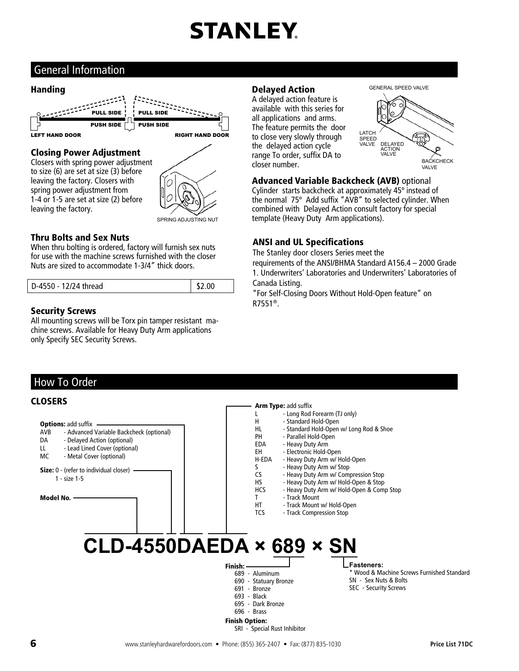### General Information

### Handing



### Closing Power Adjustment

Closers with spring power adjustment to size (6) are set at size (3) before leaving the factory. Closers with spring power adjustment from 1-4 or 1-5 are set at size (2) before leaving the factory.



### Thru Bolts and Sex Nuts

When thru bolting is ordered, factory will furnish sex nuts for use with the machine screws furnished with the closer Nuts are sized to accommodate 1-3/4" thick doors.

| D-4550 - 12/24 thread | \$2.00 |
|-----------------------|--------|

### Security Screws

All mounting screws will be Torx pin tamper resistant machine screws. Available for Heavy Duty Arm applications only Specify SEC Security Screws.

### Delayed Action

A delayed action feature is available with this series for all applications and arms. The feature permits the door to close very slowly through the delayed action cycle range To order, suffix DA to closer number.





#### Advanced Variable Backcheck (AVB) optional

Cylinder starts backcheck at approximately 45º instead of the normal 75º Add suffix "AVB" to selected cylinder. When combined with Delayed Action consult factory for special template (Heavy Duty Arm applications).

### ANSI and UL Specifications

The Stanley door closers Series meet the

requirements of the ANSI/BHMA Standard A156.4 – 2000 Grade 1. Underwriters' Laboratories and Underwriters' Laboratories of Canada Listing.

"For Self-Closing Doors Without Hold-Open feature" on R7551®.

### How To Order

#### **Options: add suffix** AVB - Advanced Variable Backcheck (optional) DA - Delayed Action (optional) LL - Lead Lined Cover (optional) MC - Metal Cover (optional) **Fasteners:**  Size: 0 - (refer to individual closer) 1 - size 1-5 Model No. **CLOSERS** Arm Type: add suffix L - Long Rod Forearm (TJ only)<br>H - Standard Hold-Open - Standard Hold-Open HL - Standard Hold-Open w/ Long Rod & Shoe PH - Parallel Hold-Open EDA - Heavy Duty Arm EH - Electronic Hold-Open<br>H-EDA - Heavy Duty Arm w/ H - Heavy Duty Arm w/ Hold-Open S - Heavy Duty Arm w/ Stop<br>CS - Heavy Duty Arm w/ Comp - Heavy Duty Arm w/ Compression Stop HS - Heavy Duty Arm w/ Hold-Open & Stop<br>HCS - Heavy Duty Arm w/ Hold-Open & Comp - Heavy Duty Arm w/ Hold-Open & Comp Stop T - Track Mount HT - Track Mount w/ Hold-Open<br>TCS - Track Compression Stop - Track Compression Stop **CLD-4550DAEDA × 689 × SN**  Finish: 689 - Aluminum 690 - Statuary Bronze 691 - Bronze 693 - Black 695 - Dark Bronze 696 - Brass Finish Option: SRI - Special Rust Inhibitor \* Wood & Machine Screws Furnished Standard SN - Sex Nuts & Bolts SEC - Security Screws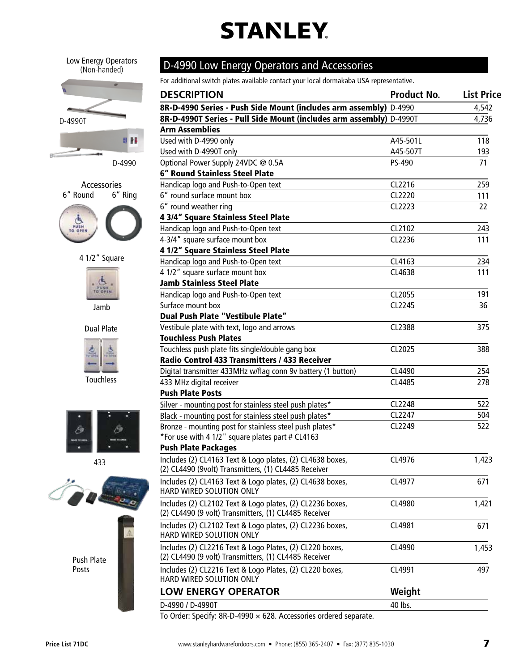Low Energy Operators (Non-handed)





4 1/2" Square



Jamb



Touchless



433



Push Plate Posts

### D-4990 Low Energy Operators and Accessories

For additional switch plates available contact your local dormakaba USA representative.

| <b>DESCRIPTION</b>                                                                                                 | <b>Product No.</b> | <b>List Price</b> |
|--------------------------------------------------------------------------------------------------------------------|--------------------|-------------------|
| 8R-D-4990 Series - Push Side Mount (includes arm assembly) D-4990                                                  |                    |                   |
| 8R-D-4990T Series - Pull Side Mount (includes arm assembly) D-4990T                                                |                    | 4,736             |
| <b>Arm Assemblies</b>                                                                                              |                    |                   |
| Used with D-4990 only                                                                                              | A45-501L           | 118               |
| Used with D-4990T only                                                                                             | A45-507T           | 193               |
| Optional Power Supply 24VDC @ 0.5A                                                                                 | PS-490             | 71                |
| <b>6" Round Stainless Steel Plate</b>                                                                              |                    |                   |
| Handicap logo and Push-to-Open text                                                                                | CL2216             | 259               |
| 6" round surface mount box                                                                                         | CL2220             | 111               |
| 6" round weather ring                                                                                              | CL2223             | 22                |
| 4 3/4" Square Stainless Steel Plate                                                                                |                    |                   |
| Handicap logo and Push-to-Open text                                                                                | CL2102             | 243               |
| 4-3/4" square surface mount box                                                                                    | CL2236             | 111               |
| 4 1/2" Square Stainless Steel Plate                                                                                |                    |                   |
| Handicap logo and Push-to-Open text                                                                                | CL4163             | 234               |
| 4 1/2" square surface mount box                                                                                    | CL4638             | 111               |
| <b>Jamb Stainless Steel Plate</b>                                                                                  |                    |                   |
| Handicap logo and Push-to-Open text                                                                                | CL2055             | 191               |
| Surface mount box                                                                                                  | CL2245             | 36                |
| Dual Push Plate "Vestibule Plate"                                                                                  |                    |                   |
| Vestibule plate with text, logo and arrows                                                                         | CL2388             | 375               |
| <b>Touchless Push Plates</b>                                                                                       |                    |                   |
| Touchless push plate fits single/double gang box                                                                   | CL2025             | 388               |
| Radio Control 433 Transmitters / 433 Receiver                                                                      |                    |                   |
| Digital transmitter 433MHz w/flag conn 9v battery (1 button)                                                       | CL4490             | 254               |
| 433 MHz digital receiver                                                                                           | CL4485             | 278               |
| <b>Push Plate Posts</b>                                                                                            |                    |                   |
| Silver - mounting post for stainless steel push plates*                                                            | CL2248             | 522               |
| Black - mounting post for stainless steel push plates*                                                             | CL2247             | 504               |
| Bronze - mounting post for stainless steel push plates*                                                            | CL2249             | 522               |
| *For use with 4 1/2" square plates part # CL4163                                                                   |                    |                   |
| <b>Push Plate Packages</b>                                                                                         |                    |                   |
| Includes (2) CL4163 Text & Logo plates, (2) CL4638 boxes,                                                          | CL4976             | 1,423             |
| (2) CL4490 (9volt) Transmitters, (1) CL4485 Receiver                                                               |                    |                   |
| Includes (2) CL4163 Text & Logo plates, (2) CL4638 boxes,                                                          | CL4977             | 671               |
| HARD WIRED SOLUTION ONLY                                                                                           |                    |                   |
|                                                                                                                    | CL4980             |                   |
| Includes (2) CL2102 Text & Logo plates, (2) CL2236 boxes,<br>(2) CL4490 (9 volt) Transmitters, (1) CL4485 Receiver |                    | 1,421             |
|                                                                                                                    |                    |                   |
| Includes (2) CL2102 Text & Logo plates, (2) CL2236 boxes,<br>HARD WIRED SOLUTION ONLY                              | CL4981             | 671               |
|                                                                                                                    |                    |                   |
| Includes (2) CL2216 Text & Logo Plates, (2) CL220 boxes,<br>(2) CL4490 (9 volt) Transmitters, (1) CL4485 Receiver  | CL4990             | 1,453             |
|                                                                                                                    |                    |                   |
| Includes (2) CL2216 Text & Logo Plates, (2) CL220 boxes,<br>HARD WIRED SOLUTION ONLY                               | CL4991             | 497               |
|                                                                                                                    |                    |                   |
| <b>LOW ENERGY OPERATOR</b>                                                                                         | Weight             |                   |
| D-4990 / D-4990T                                                                                                   | 40 lbs.            |                   |
| To Order: Specify: 8R-D-4990 $\times$ 628. Accessories ordered separate.                                           |                    |                   |

To Order: Specify: 8R-D-4990 × 628. Accessories ordered separate.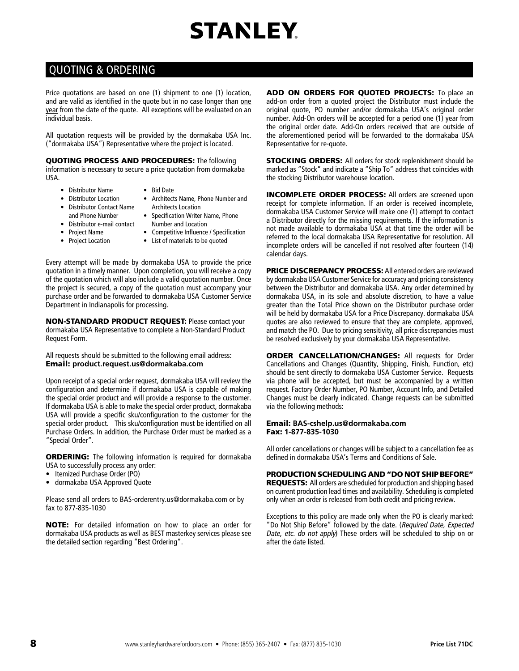### QUOTING & ORDERING

Price quotations are based on one (1) shipment to one (1) location, and are valid as identified in the quote but in no case longer than one year from the date of the quote. All exceptions will be evaluated on an individual basis.

All quotation requests will be provided by the dormakaba USA Inc. ("dormakaba USA") Representative where the project is located.

QUOTING PROCESS AND PROCEDURES: The following information is necessary to secure a price quotation from dormakaba USA.

- Distributor Name • Bid Date
- Distributor Location
- Architects Name, Phone Number and Architects Location
- Distributor Contact Name and Phone Number • Distributor e-mail contact
- Specification Writer Name, Phone Number and Location
- Project Name • Project Location
- Competitive Influence / Specification
- List of materials to be quoted

Every attempt will be made by dormakaba USA to provide the price quotation in a timely manner. Upon completion, you will receive a copy of the quotation which will also include a valid quotation number. Once the project is secured, a copy of the quotation must accompany your purchase order and be forwarded to dormakaba USA Customer Service Department in Indianapolis for processing.

NON-STANDARD PRODUCT REQUEST: Please contact your dormakaba USA Representative to complete a Non-Standard Product Request Form.

All requests should be submitted to the following email address: Email: **product.request.us@dormakaba.com**

Upon receipt of a special order request, dormakaba USA will review the configuration and determine if dormakaba USA is capable of making the special order product and will provide a response to the customer. If dormakaba USA is able to make the special order product, dormakaba USA will provide a specific sku/configuration to the customer for the special order product. This sku/configuration must be identified on all Purchase Orders. In addition, the Purchase Order must be marked as a "Special Order".

**ORDERING:** The following information is required for dormakaba USA to successfully process any order:

- Itemized Purchase Order (PO)
- dormakaba USA Approved Quote

Please send all orders to BAS-orderentry.us@dormakaba.com or by fax to 877-835-1030

NOTE: For detailed information on how to place an order for dormakaba USA products as well as BEST masterkey services please see the detailed section regarding "Best Ordering".

ADD ON ORDERS FOR QUOTED PROJECTS: To place an add-on order from a quoted project the Distributor must include the original quote, PO number and/or dormakaba USA's original order number. Add-On orders will be accepted for a period one (1) year from the original order date. Add-On orders received that are outside of the aforementioned period will be forwarded to the dormakaba USA Representative for re-quote.

STOCKING ORDERS: All orders for stock replenishment should be marked as "Stock" and indicate a "Ship To" address that coincides with the stocking Distributor warehouse location.

INCOMPLETE ORDER PROCESS: All orders are screened upon receipt for complete information. If an order is received incomplete, dormakaba USA Customer Service will make one (1) attempt to contact a Distributor directly for the missing requirements. If the information is not made available to dormakaba USA at that time the order will be referred to the local dormakaba USA Representative for resolution. All incomplete orders will be cancelled if not resolved after fourteen (14) calendar days.

PRICE DISCREPANCY PROCESS: All entered orders are reviewed by dormakaba USA Customer Service for accuracy and pricing consistency between the Distributor and dormakaba USA. Any order determined by dormakaba USA, in its sole and absolute discretion, to have a value greater than the Total Price shown on the Distributor purchase order will be held by dormakaba USA for a Price Discrepancy. dormakaba USA quotes are also reviewed to ensure that they are complete, approved, and match the PO. Due to pricing sensitivity, all price discrepancies must be resolved exclusively by your dormakaba USA Representative.

**ORDER CANCELLATION/CHANGES: All requests for Order** Cancellations and Changes (Quantity, Shipping, Finish, Function, etc) should be sent directly to dormakaba USA Customer Service. Requests via phone will be accepted, but must be accompanied by a written request. Factory Order Number, PO Number, Account Info, and Detailed Changes must be clearly indicated. Change requests can be submitted via the following methods:

#### Email: **BAS-cshelp.us@dormakaba.com**  Fax: **1-877-835-1030**

All order cancellations or changes will be subject to a cancellation fee as defined in dormakaba USA's Terms and Conditions of Sale.

#### PRODUCTION SCHEDULING AND "DO NOT SHIP BEFORE"

REQUESTS: All orders are scheduled for production and shipping based on current production lead times and availability. Scheduling is completed only when an order is released from both credit and pricing review.

Exceptions to this policy are made only when the PO is clearly marked: "Do Not Ship Before" followed by the date. (Required Date, Expected Date, etc. do not apply) These orders will be scheduled to ship on or after the date listed.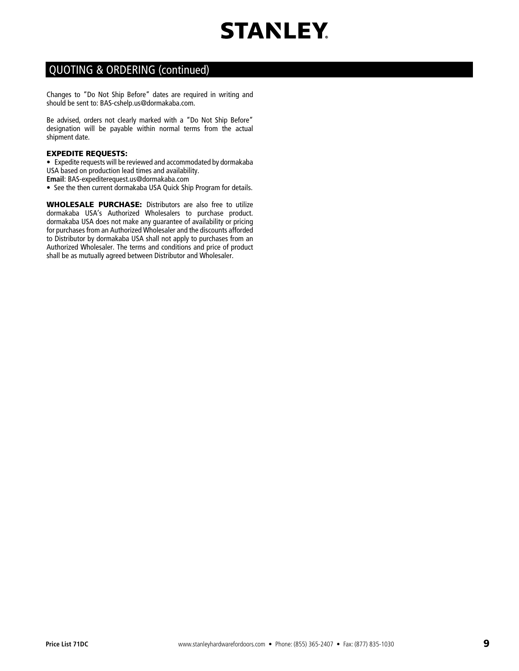

### QUOTING & ORDERING (continued)

Changes to "Do Not Ship Before" dates are required in writing and should be sent to: BAS-cshelp.us@dormakaba.com.

Be advised, orders not clearly marked with a "Do Not Ship Before" designation will be payable within normal terms from the actual shipment date.

#### EXPEDITE REQUESTS:

• Expedite requests will be reviewed and accommodated by dormakaba USA based on production lead times and availability.

- **Email**: BAS-expediterequest.us@dormakaba.com
- See the then current dormakaba USA Quick Ship Program for details.

WHOLESALE PURCHASE: Distributors are also free to utilize dormakaba USA's Authorized Wholesalers to purchase product. dormakaba USA does not make any guarantee of availability or pricing for purchases from an Authorized Wholesaler and the discounts afforded to Distributor by dormakaba USA shall not apply to purchases from an Authorized Wholesaler. The terms and conditions and price of product shall be as mutually agreed between Distributor and Wholesaler.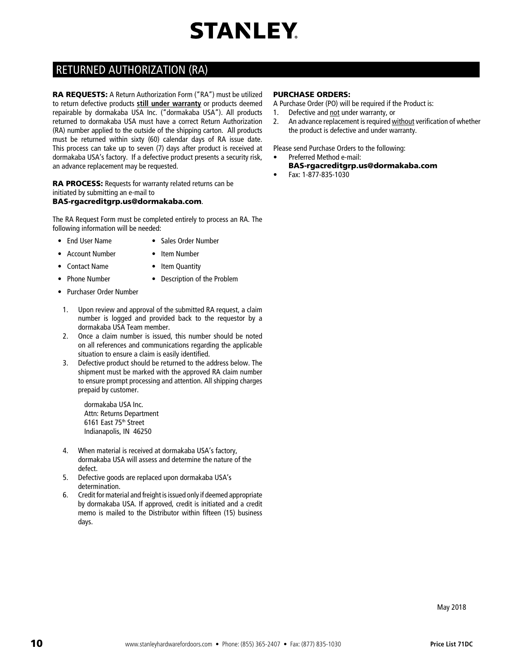### RETURNED AUTHORIZATION (RA)

RA REQUESTS: A Return Authorization Form ("RA") must be utilized to return defective products **still under warranty** or products deemed repairable by dormakaba USA Inc. ("dormakaba USA"). All products returned to dormakaba USA must have a correct Return Authorization (RA) number applied to the outside of the shipping carton. All products must be returned within sixty (60) calendar days of RA issue date. This process can take up to seven (7) days after product is received at dormakaba USA's factory. If a defective product presents a security risk, an advance replacement may be requested.

RA PROCESS: Requests for warranty related returns can be initiated by submitting an e-mail to

#### BAS-rgacreditgrp.us@dormakaba.com.

The RA Request Form must be completed entirely to process an RA. The following information will be needed:

- End User Name Sales Order Number
- Account Number Item Number
	-
- Contact Name Item Quantity
- Phone Number Description of the Problem
- Purchaser Order Number
- 1. Upon review and approval of the submitted RA request, a claim number is logged and provided back to the requestor by a dormakaba USA Team member.
- 2. Once a claim number is issued, this number should be noted on all references and communications regarding the applicable situation to ensure a claim is easily identified.
- 3. Defective product should be returned to the address below. The shipment must be marked with the approved RA claim number to ensure prompt processing and attention. All shipping charges prepaid by customer.

dormakaba USA Inc. Attn: Returns Department 6161 East 75th Street Indianapolis, IN 46250

- 4. When material is received at dormakaba USA's factory, dormakaba USA will assess and determine the nature of the defect.
- 5. Defective goods are replaced upon dormakaba USA's determination.
- 6. Credit for material and freight is issued only if deemed appropriate by dormakaba USA. If approved, credit is initiated and a credit memo is mailed to the Distributor within fifteen (15) business days.

#### PURCHASE ORDERS:

A Purchase Order (PO) will be required if the Product is:

- 1. Defective and not under warranty, or
- 2. An advance replacement is required without verification of whether the product is defective and under warranty.

Please send Purchase Orders to the following:

- Preferred Method e-mail:
- BAS-rgacreditgrp.us@dormakaba.com
- Fax: 1-877-835-1030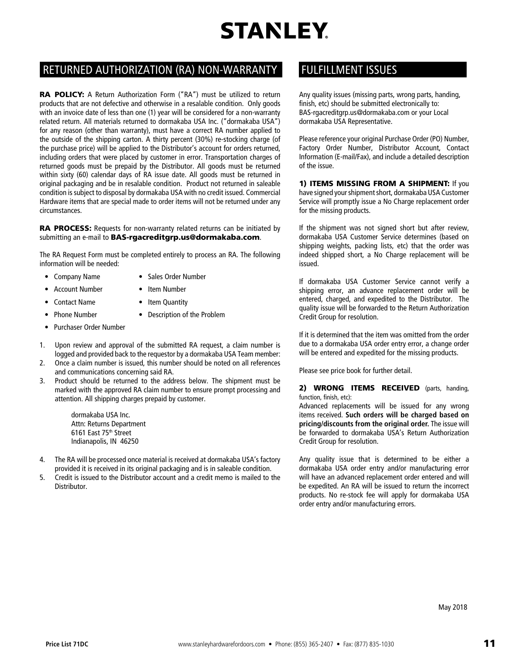### RETURNED AUTHORIZATION (RA) NON-WARRANTY FULFILLMENT ISSUES

RA POLICY: A Return Authorization Form ("RA") must be utilized to return products that are not defective and otherwise in a resalable condition. Only goods with an invoice date of less than one (1) year will be considered for a non-warranty related return. All materials returned to dormakaba USA Inc. ("dormakaba USA") for any reason (other than warranty), must have a correct RA number applied to the outside of the shipping carton. A thirty percent (30%) re-stocking charge (of the purchase price) will be applied to the Distributor's account for orders returned, including orders that were placed by customer in error. Transportation charges of returned goods must be prepaid by the Distributor. All goods must be returned within sixty (60) calendar days of RA issue date. All goods must be returned in original packaging and be in resalable condition. Product not returned in saleable condition is subject to disposal by dormakaba USA with no credit issued. Commercial Hardware items that are special made to order items will not be returned under any circumstances.

RA PROCESS: Requests for non-warranty related returns can be initiated by submitting an e-mail to BAS-rgacreditgrp.us@dormakaba.com.

The RA Request Form must be completed entirely to process an RA. The following information will be needed:

- Company Name Sales Order Number
- Account Number Item Number
- Contact Name Item Quantity
- Phone Number Description of the Problem
- Purchaser Order Number
- 1. Upon review and approval of the submitted RA request, a claim number is logged and provided back to the requestor by a dormakaba USA Team member:
- 2. Once a claim number is issued, this number should be noted on all references and communications concerning said RA.
- 3. Product should be returned to the address below. The shipment must be marked with the approved RA claim number to ensure prompt processing and attention. All shipping charges prepaid by customer.

dormakaba USA Inc. Attn: Returns Department 6161 East 75th Street Indianapolis, IN 46250

- 4. The RA will be processed once material is received at dormakaba USA's factory provided it is received in its original packaging and is in saleable condition.
- 5. Credit is issued to the Distributor account and a credit memo is mailed to the Distributor.

Any quality issues (missing parts, wrong parts, handing, finish, etc) should be submitted electronically to: BAS-rgacreditgrp.us@dormakaba.com or your Local dormakaba USA Representative.

Please reference your original Purchase Order (PO) Number, Factory Order Number, Distributor Account, Contact Information (E-mail/Fax), and include a detailed description of the issue.

1) **ITEMS MISSING FROM A SHIPMENT:** If you have signed your shipment short, dormakaba USA Customer Service will promptly issue a No Charge replacement order for the missing products.

If the shipment was not signed short but after review, dormakaba USA Customer Service determines (based on shipping weights, packing lists, etc) that the order was indeed shipped short, a No Charge replacement will be issued.

If dormakaba USA Customer Service cannot verify a shipping error, an advance replacement order will be entered, charged, and expedited to the Distributor. The quality issue will be forwarded to the Return Authorization Credit Group for resolution.

If it is determined that the item was omitted from the order due to a dormakaba USA order entry error, a change order will be entered and expedited for the missing products.

Please see price book for further detail.

2) **WRONG ITEMS RECEIVED** (parts, handing, function, finish, etc):

Advanced replacements will be issued for any wrong items received. **Such orders will be charged based on pricing/discounts from the original order.** The issue will be forwarded to dormakaba USA's Return Authorization Credit Group for resolution.

Any quality issue that is determined to be either a dormakaba USA order entry and/or manufacturing error will have an advanced replacement order entered and will be expedited. An RA will be issued to return the incorrect products. No re-stock fee will apply for dormakaba USA order entry and/or manufacturing errors.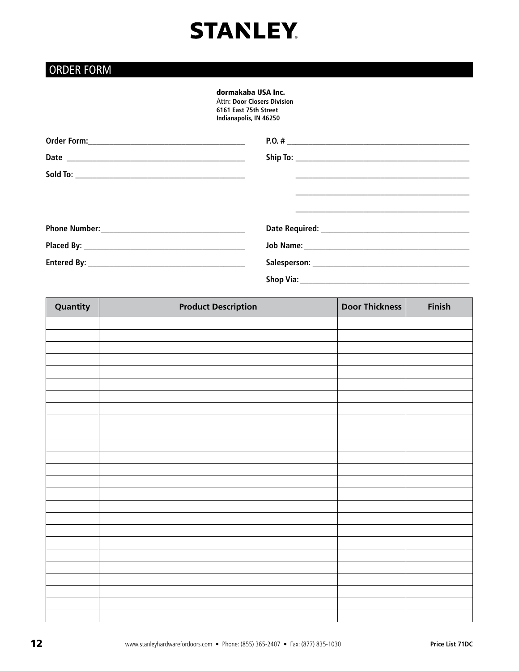### ORDER FORM

### dormakaba USA Inc.

Attn: **Door Closers Division 6161 East 75th Street Indianapolis, IN 46250** 

| Quantity | <b>Product Description</b> | <b>Door Thickness</b> | Finish |
|----------|----------------------------|-----------------------|--------|
|          |                            |                       |        |
|          |                            |                       |        |
|          |                            |                       |        |
|          |                            |                       |        |
|          |                            |                       |        |
|          |                            |                       |        |
|          |                            |                       |        |
|          |                            |                       |        |
|          |                            |                       |        |
|          |                            |                       |        |
|          |                            |                       |        |
|          |                            |                       |        |
|          |                            |                       |        |
|          |                            |                       |        |
|          |                            |                       |        |
|          |                            |                       |        |
|          |                            |                       |        |
|          |                            |                       |        |
|          |                            |                       |        |
|          |                            |                       |        |
|          |                            |                       |        |
|          |                            |                       |        |
|          |                            |                       |        |
|          |                            |                       |        |
|          |                            |                       |        |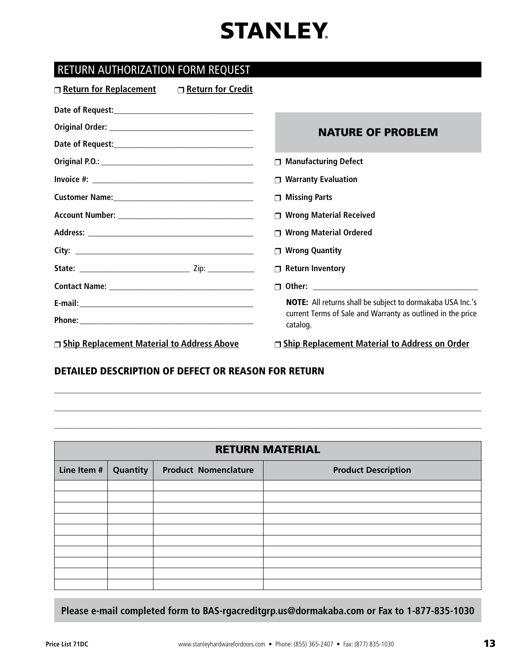### RETURN AUTHORIZATION FORM REQUEST

| Return for Replacement<br>□ Return for Credit |                                                                         |  |
|-----------------------------------------------|-------------------------------------------------------------------------|--|
|                                               |                                                                         |  |
|                                               | <b>NATURE OF PROBLEM</b>                                                |  |
|                                               |                                                                         |  |
|                                               | <b>Manufacturing Defect</b>                                             |  |
|                                               | <b>Warranty Evaluation</b>                                              |  |
|                                               | <b>Missing Parts</b><br>⊓                                               |  |
|                                               | <b>Wrong Material Received</b><br>⊓                                     |  |
|                                               | <b>Wrong Material Ordered</b>                                           |  |
|                                               | <b>Wrong Quantity</b>                                                   |  |
|                                               | <b>Return Inventory</b><br>$\Box$                                       |  |
|                                               |                                                                         |  |
|                                               | <b>NOTE:</b> All returns shall be subject to dormakaba USA Inc.'s       |  |
|                                               | current Terms of Sale and Warranty as outlined in the price<br>catalog. |  |
| □ Ship Replacement Material to Address Above  | □ Ship Replacement Material to Address on Order                         |  |

### DETAILED DESCRIPTION OF DEFECT OR REASON FOR RETURN

| <b>RETURN MATERIAL</b> |                                                                       |  |  |  |
|------------------------|-----------------------------------------------------------------------|--|--|--|
| Line Item #            | Quantity<br><b>Product Nomenclature</b><br><b>Product Description</b> |  |  |  |
|                        |                                                                       |  |  |  |
|                        |                                                                       |  |  |  |
|                        |                                                                       |  |  |  |
|                        |                                                                       |  |  |  |
|                        |                                                                       |  |  |  |
|                        |                                                                       |  |  |  |
|                        |                                                                       |  |  |  |
|                        |                                                                       |  |  |  |
|                        |                                                                       |  |  |  |
|                        |                                                                       |  |  |  |

\_\_\_\_\_\_\_\_\_\_\_\_\_\_\_\_\_\_\_\_\_\_\_\_\_\_\_\_\_\_\_\_\_\_\_\_\_\_\_\_\_\_\_\_\_\_\_\_\_\_\_\_\_\_\_\_\_\_\_\_\_\_\_\_\_\_\_\_\_\_\_\_\_\_\_\_\_\_\_\_\_\_\_\_\_\_\_\_\_\_\_\_\_\_\_\_\_\_\_\_\_\_\_\_\_\_\_\_\_\_\_\_

\_\_\_\_\_\_\_\_\_\_\_\_\_\_\_\_\_\_\_\_\_\_\_\_\_\_\_\_\_\_\_\_\_\_\_\_\_\_\_\_\_\_\_\_\_\_\_\_\_\_\_\_\_\_\_\_\_\_\_\_\_\_\_\_\_\_\_\_\_\_\_\_\_\_\_\_\_\_\_\_\_\_\_\_\_\_\_\_\_\_\_\_\_\_\_\_\_\_\_\_\_\_\_\_\_\_\_\_\_\_\_\_

\_\_\_\_\_\_\_\_\_\_\_\_\_\_\_\_\_\_\_\_\_\_\_\_\_\_\_\_\_\_\_\_\_\_\_\_\_\_\_\_\_\_\_\_\_\_\_\_\_\_\_\_\_\_\_\_\_\_\_\_\_\_\_\_\_\_\_\_\_\_\_\_\_\_\_\_\_\_\_\_\_\_\_\_\_\_\_\_\_\_\_\_\_\_\_\_\_\_\_\_\_\_\_\_\_\_\_\_\_\_\_\_

**Please e-mail completed form to BAS-rgacreditgrp.us@dormakaba.com or Fax to 1-877-835-1030**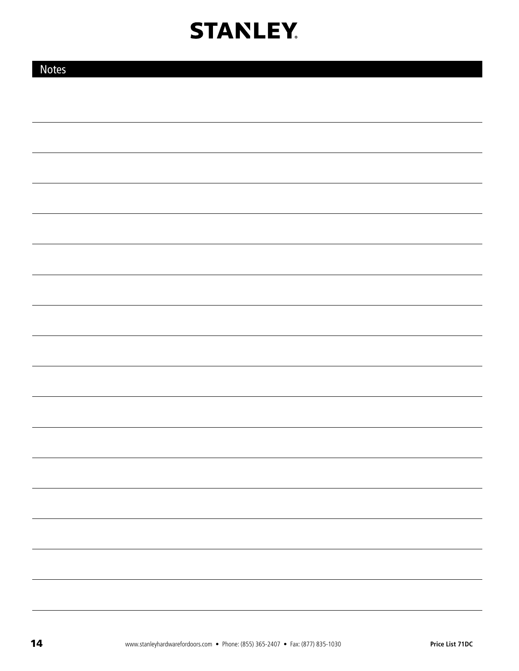| <b>Notes</b> |  |  |
|--------------|--|--|
|              |  |  |
|              |  |  |
|              |  |  |
|              |  |  |
|              |  |  |
|              |  |  |
|              |  |  |
|              |  |  |
|              |  |  |
|              |  |  |
|              |  |  |
|              |  |  |
|              |  |  |
|              |  |  |
|              |  |  |
|              |  |  |
|              |  |  |
|              |  |  |
|              |  |  |
|              |  |  |
|              |  |  |
|              |  |  |
|              |  |  |
|              |  |  |
|              |  |  |
|              |  |  |
|              |  |  |
|              |  |  |
|              |  |  |
|              |  |  |
|              |  |  |
|              |  |  |
|              |  |  |
|              |  |  |
|              |  |  |
|              |  |  |
|              |  |  |
|              |  |  |
|              |  |  |
|              |  |  |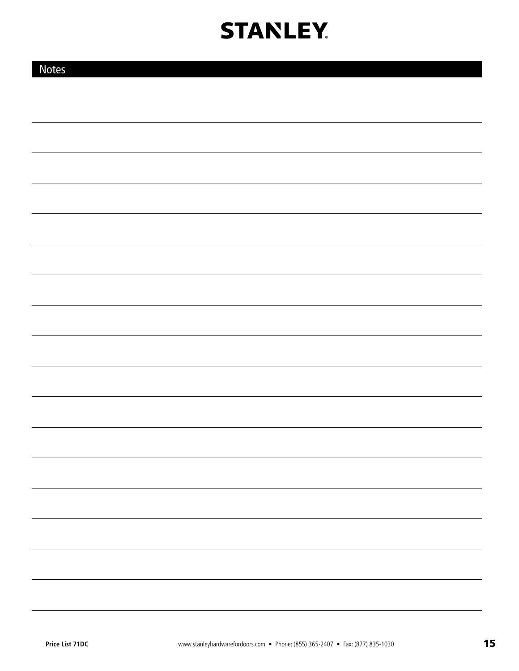| <b>Notes</b> |  |
|--------------|--|
|              |  |
|              |  |
|              |  |
|              |  |
|              |  |
|              |  |
|              |  |
|              |  |
|              |  |
|              |  |
|              |  |
|              |  |
|              |  |
|              |  |
|              |  |
|              |  |
|              |  |
|              |  |
|              |  |
|              |  |